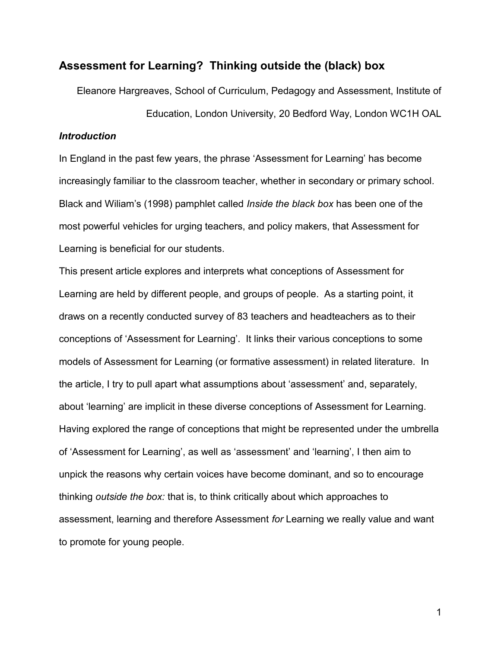## **Assessment for Learning? Thinking outside the (black) box**

Eleanore Hargreaves, School of Curriculum, Pedagogy and Assessment, Institute of Education, London University, 20 Bedford Way, London WC1H OAL

## *Introduction*

In England in the past few years, the phrase 'Assessment for Learning' has become increasingly familiar to the classroom teacher, whether in secondary or primary school. Black and Wiliam's (1998) pamphlet called *Inside the black box* has been one of the most powerful vehicles for urging teachers, and policy makers, that Assessment for Learning is beneficial for our students.

This present article explores and interprets what conceptions of Assessment for Learning are held by different people, and groups of people. As a starting point, it draws on a recently conducted survey of 83 teachers and headteachers as to their conceptions of 'Assessment for Learning'. It links their various conceptions to some models of Assessment for Learning (or formative assessment) in related literature. In the article, I try to pull apart what assumptions about 'assessment' and, separately, about 'learning' are implicit in these diverse conceptions of Assessment for Learning. Having explored the range of conceptions that might be represented under the umbrella of 'Assessment for Learning', as well as 'assessment' and 'learning', I then aim to unpick the reasons why certain voices have become dominant, and so to encourage thinking *outside the box:* that is, to think critically about which approaches to assessment, learning and therefore Assessment *for* Learning we really value and want to promote for young people.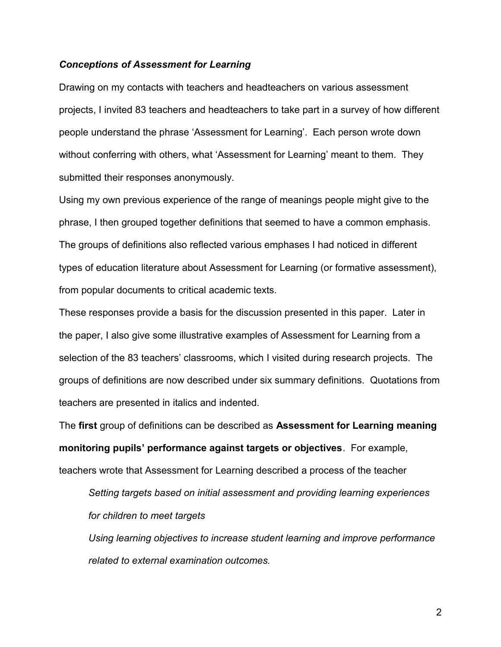#### *Conceptions of Assessment for Learning*

Drawing on my contacts with teachers and headteachers on various assessment projects, I invited 83 teachers and headteachers to take part in a survey of how different people understand the phrase 'Assessment for Learning'. Each person wrote down without conferring with others, what 'Assessment for Learning' meant to them. They submitted their responses anonymously.

Using my own previous experience of the range of meanings people might give to the phrase, I then grouped together definitions that seemed to have a common emphasis. The groups of definitions also reflected various emphases I had noticed in different types of education literature about Assessment for Learning (or formative assessment), from popular documents to critical academic texts.

These responses provide a basis for the discussion presented in this paper. Later in the paper, I also give some illustrative examples of Assessment for Learning from a selection of the 83 teachers' classrooms, which I visited during research projects. The groups of definitions are now described under six summary definitions. Quotations from teachers are presented in italics and indented.

The **first** group of definitions can be described as **Assessment for Learning meaning monitoring pupils' performance against targets or objectives**. For example, teachers wrote that Assessment for Learning described a process of the teacher

*Setting targets based on initial assessment and providing learning experiences for children to meet targets* 

*Using learning objectives to increase student learning and improve performance related to external examination outcomes.*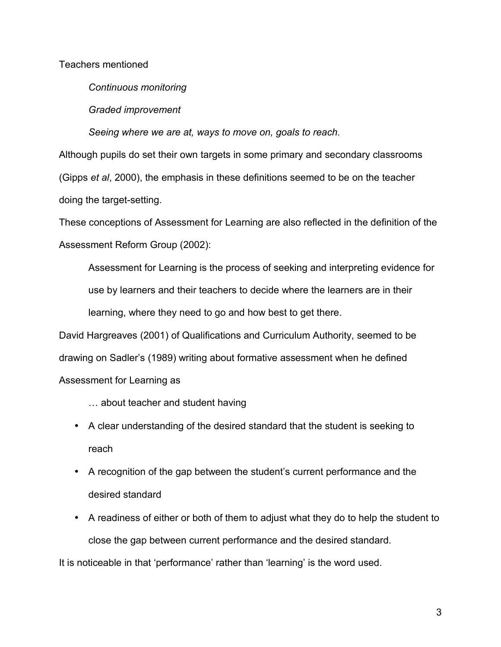Teachers mentioned

*Continuous monitoring* 

*Graded improvement*

*Seeing where we are at, ways to move on, goals to reach.* 

Although pupils do set their own targets in some primary and secondary classrooms (Gipps *et al*, 2000), the emphasis in these definitions seemed to be on the teacher doing the target-setting.

These conceptions of Assessment for Learning are also reflected in the definition of the Assessment Reform Group (2002):

Assessment for Learning is the process of seeking and interpreting evidence for use by learners and their teachers to decide where the learners are in their learning, where they need to go and how best to get there*.*

David Hargreaves (2001) of Qualifications and Curriculum Authority, seemed to be drawing on Sadler's (1989) writing about formative assessment when he defined Assessment for Learning as

- … about teacher and student having
- A clear understanding of the desired standard that the student is seeking to reach
- A recognition of the gap between the student's current performance and the desired standard
- A readiness of either or both of them to adjust what they do to help the student to close the gap between current performance and the desired standard.

It is noticeable in that 'performance' rather than 'learning' is the word used.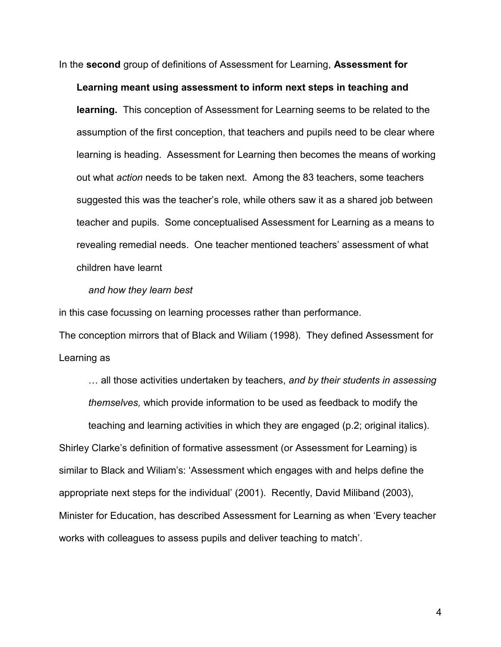In the **second** group of definitions of Assessment for Learning, **Assessment for**

**Learning meant using assessment to inform next steps in teaching and learning.** This conception of Assessment for Learning seems to be related to the assumption of the first conception, that teachers and pupils need to be clear where learning is heading. Assessment for Learning then becomes the means of working out what *action* needs to be taken next. Among the 83 teachers, some teachers suggested this was the teacher's role, while others saw it as a shared job between teacher and pupils. Some conceptualised Assessment for Learning as a means to revealing remedial needs. One teacher mentioned teachers' assessment of what children have learnt

#### *and how they learn best*

in this case focussing on learning processes rather than performance.

The conception mirrors that of Black and Wiliam (1998). They defined Assessment for Learning as

… all those activities undertaken by teachers, *and by their students in assessing themselves,* which provide information to be used as feedback to modify the teaching and learning activities in which they are engaged (p.2; original italics). Shirley Clarke's definition of formative assessment (or Assessment for Learning) is similar to Black and Wiliam's: 'Assessment which engages with and helps define the appropriate next steps for the individual' (2001). Recently, David Miliband (2003), Minister for Education, has described Assessment for Learning as when 'Every teacher works with colleagues to assess pupils and deliver teaching to match'.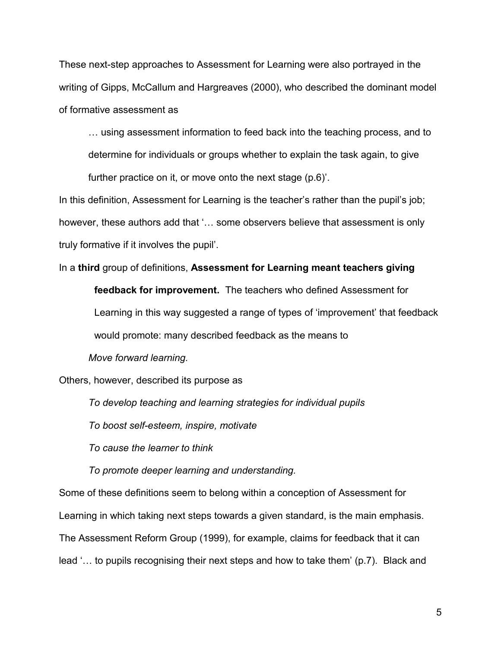These next-step approaches to Assessment for Learning were also portrayed in the writing of Gipps, McCallum and Hargreaves (2000), who described the dominant model of formative assessment as

… using assessment information to feed back into the teaching process, and to

determine for individuals or groups whether to explain the task again, to give

further practice on it, or move onto the next stage (p.6)'.

In this definition, Assessment for Learning is the teacher's rather than the pupil's job; however, these authors add that '… some observers believe that assessment is only truly formative if it involves the pupil'.

#### In a **third** group of definitions, **Assessment for Learning meant teachers giving**

**feedback for improvement.** The teachers who defined Assessment for Learning in this way suggested a range of types of 'improvement' that feedback would promote: many described feedback as the means to

*Move forward learning.*

Others, however, described its purpose as

*To develop teaching and learning strategies for individual pupils*

*To boost self-esteem, inspire, motivate*

*To cause the learner to think* 

*To promote deeper learning and understanding.*

Some of these definitions seem to belong within a conception of Assessment for Learning in which taking next steps towards a given standard, is the main emphasis. The Assessment Reform Group (1999), for example, claims for feedback that it can lead '… to pupils recognising their next steps and how to take them' (p.7). Black and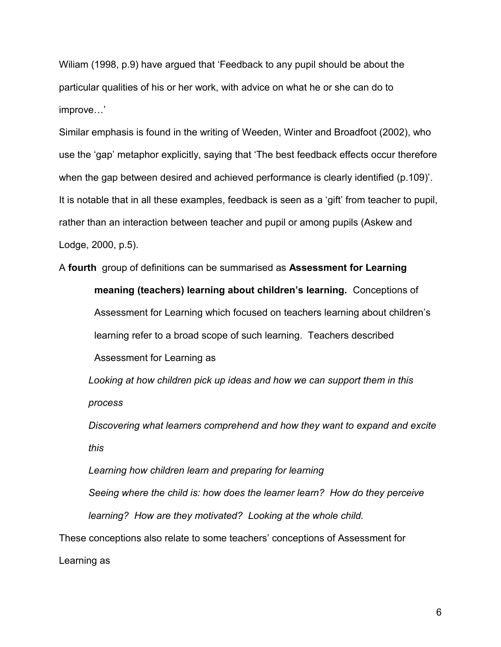Wiliam (1998, p.9) have argued that 'Feedback to any pupil should be about the particular qualities of his or her work, with advice on what he or she can do to improve…'

Similar emphasis is found in the writing of Weeden, Winter and Broadfoot (2002), who use the 'gap' metaphor explicitly, saying that 'The best feedback effects occur therefore when the gap between desired and achieved performance is clearly identified (p.109)'. It is notable that in all these examples, feedback is seen as a 'gift' from teacher to pupil, rather than an interaction between teacher and pupil or among pupils (Askew and Lodge, 2000, p.5).

A **fourth** group of definitions can be summarised as **Assessment for Learning meaning (teachers) learning about children's learning.** Conceptions of Assessment for Learning which focused on teachers learning about children's learning refer to a broad scope of such learning. Teachers described Assessment for Learning as

*Looking at how children pick up ideas and how we can support them in this process*

*Discovering what learners comprehend and how they want to expand and excite this*

*Learning how children learn and preparing for learning Seeing where the child is: how does the learner learn? How do they perceive learning? How are they motivated? Looking at the whole child.*  These conceptions also relate to some teachers' conceptions of Assessment for

Learning as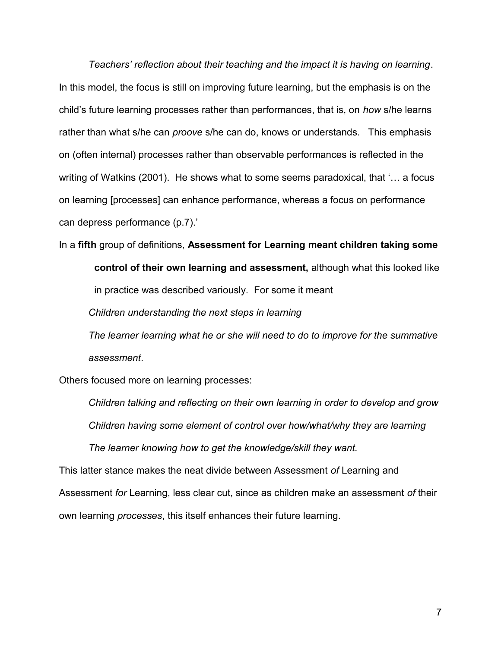*Teachers' reflection about their teaching and the impact it is having on learning*. In this model, the focus is still on improving future learning, but the emphasis is on the child's future learning processes rather than performances, that is, on *how* s/he learns rather than what s/he can *proove* s/he can do, knows or understands. This emphasis on (often internal) processes rather than observable performances is reflected in the writing of Watkins (2001). He shows what to some seems paradoxical, that '… a focus on learning [processes] can enhance performance, whereas a focus on performance can depress performance (p.7).'

In a **fifth** group of definitions, **Assessment for Learning meant children taking some**

**control of their own learning and assessment,** although what this looked like in practice was described variously. For some it meant *Children understanding the next steps in learning The learner learning what he or she will need to do to improve for the summative*

*assessment*.

Others focused more on learning processes:

*Children talking and reflecting on their own learning in order to develop and grow Children having some element of control over how/what/why they are learning The learner knowing how to get the knowledge/skill they want.*

This latter stance makes the neat divide between Assessment *of* Learning and Assessment *for* Learning, less clear cut, since as children make an assessment *of* their own learning *processes*, this itself enhances their future learning.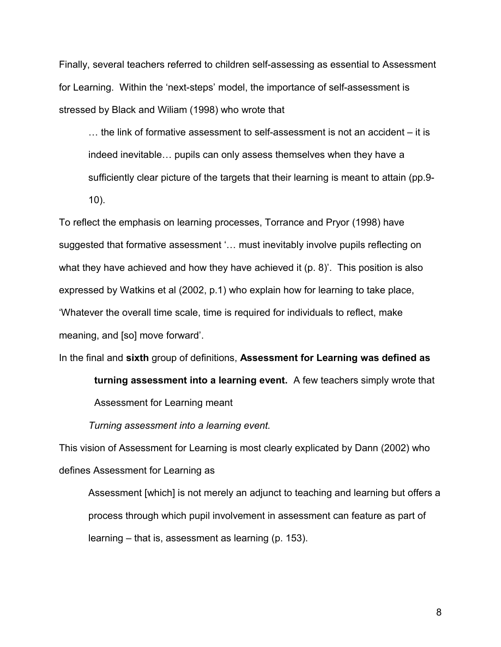Finally, several teachers referred to children self-assessing as essential to Assessment for Learning. Within the 'next-steps' model, the importance of self-assessment is stressed by Black and Wiliam (1998) who wrote that

… the link of formative assessment to self-assessment is not an accident – it is indeed inevitable… pupils can only assess themselves when they have a sufficiently clear picture of the targets that their learning is meant to attain (pp.9- 10).

To reflect the emphasis on learning processes, Torrance and Pryor (1998) have suggested that formative assessment '… must inevitably involve pupils reflecting on what they have achieved and how they have achieved it (p. 8)'. This position is also expressed by Watkins et al (2002, p.1) who explain how for learning to take place, 'Whatever the overall time scale, time is required for individuals to reflect, make meaning, and [so] move forward'.

In the final and **sixth** group of definitions, **Assessment for Learning was defined as**

**turning assessment into a learning event.** A few teachers simply wrote that

Assessment for Learning meant

*Turning assessment into a learning event.*

This vision of Assessment for Learning is most clearly explicated by Dann (2002) who defines Assessment for Learning as

Assessment [which] is not merely an adjunct to teaching and learning but offers a process through which pupil involvement in assessment can feature as part of learning – that is, assessment as learning (p. 153).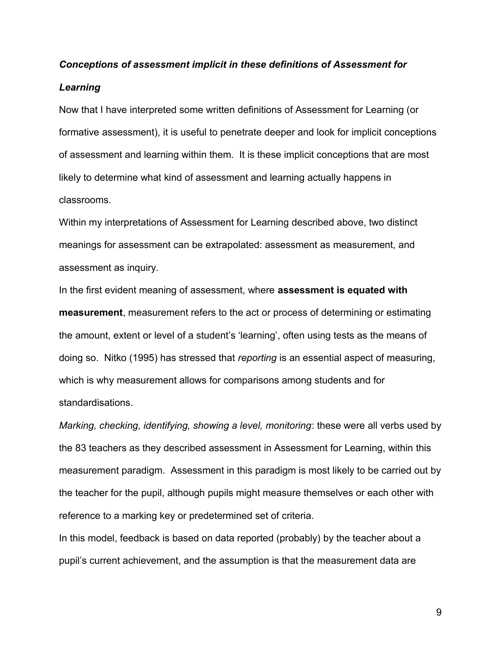# *Conceptions of assessment implicit in these definitions of Assessment for*

#### *Learning*

Now that I have interpreted some written definitions of Assessment for Learning (or formative assessment), it is useful to penetrate deeper and look for implicit conceptions of assessment and learning within them. It is these implicit conceptions that are most likely to determine what kind of assessment and learning actually happens in classrooms.

Within my interpretations of Assessment for Learning described above, two distinct meanings for assessment can be extrapolated: assessment as measurement, and assessment as inquiry.

In the first evident meaning of assessment, where **assessment is equated with measurement**, measurement refers to the act or process of determining or estimating the amount, extent or level of a student's 'learning', often using tests as the means of doing so. Nitko (1995) has stressed that *reporting* is an essential aspect of measuring, which is why measurement allows for comparisons among students and for standardisations.

*Marking, checking, identifying, showing a level, monitoring*: these were all verbs used by the 83 teachers as they described assessment in Assessment for Learning, within this measurement paradigm. Assessment in this paradigm is most likely to be carried out by the teacher for the pupil, although pupils might measure themselves or each other with reference to a marking key or predetermined set of criteria.

In this model, feedback is based on data reported (probably) by the teacher about a pupil's current achievement, and the assumption is that the measurement data are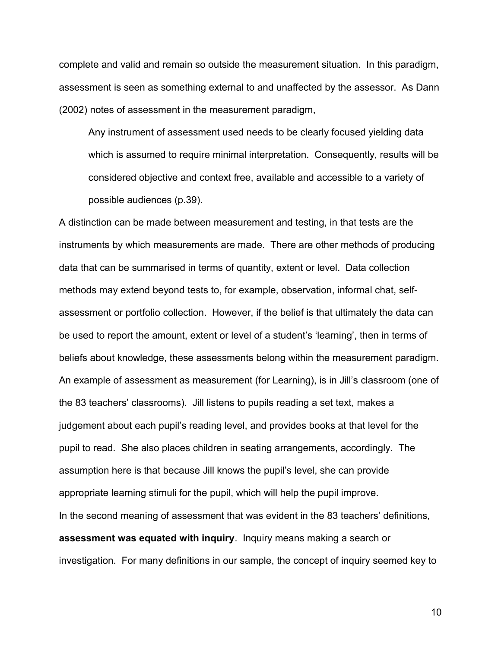complete and valid and remain so outside the measurement situation. In this paradigm, assessment is seen as something external to and unaffected by the assessor. As Dann (2002) notes of assessment in the measurement paradigm,

Any instrument of assessment used needs to be clearly focused yielding data which is assumed to require minimal interpretation. Consequently, results will be considered objective and context free, available and accessible to a variety of possible audiences (p.39).

A distinction can be made between measurement and testing, in that tests are the instruments by which measurements are made. There are other methods of producing data that can be summarised in terms of quantity, extent or level. Data collection methods may extend beyond tests to, for example, observation, informal chat, selfassessment or portfolio collection. However, if the belief is that ultimately the data can be used to report the amount, extent or level of a student's 'learning', then in terms of beliefs about knowledge, these assessments belong within the measurement paradigm. An example of assessment as measurement (for Learning), is in Jill's classroom (one of the 83 teachers' classrooms). Jill listens to pupils reading a set text, makes a judgement about each pupil's reading level, and provides books at that level for the pupil to read. She also places children in seating arrangements, accordingly. The assumption here is that because Jill knows the pupil's level, she can provide appropriate learning stimuli for the pupil, which will help the pupil improve. In the second meaning of assessment that was evident in the 83 teachers' definitions, **assessment was equated with inquiry**. Inquiry means making a search or investigation. For many definitions in our sample, the concept of inquiry seemed key to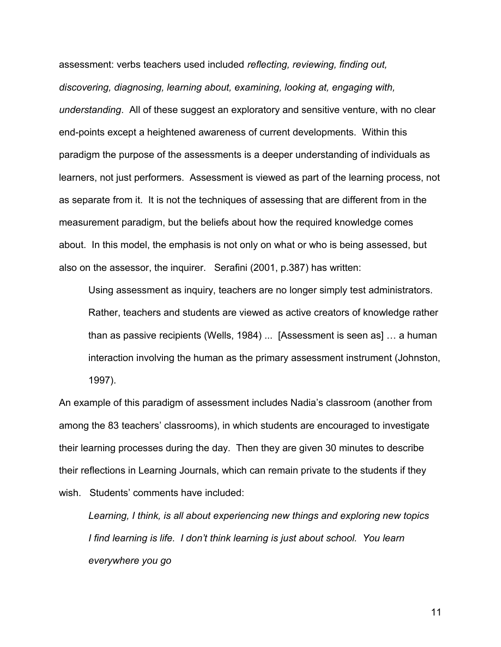assessment: verbs teachers used included *reflecting, reviewing, finding out, discovering, diagnosing, learning about, examining, looking at, engaging with, understanding*. All of these suggest an exploratory and sensitive venture, with no clear end-points except a heightened awareness of current developments. Within this paradigm the purpose of the assessments is a deeper understanding of individuals as learners, not just performers. Assessment is viewed as part of the learning process, not as separate from it. It is not the techniques of assessing that are different from in the measurement paradigm, but the beliefs about how the required knowledge comes about. In this model, the emphasis is not only on what or who is being assessed, but also on the assessor, the inquirer. Serafini (2001, p.387) has written:

Using assessment as inquiry, teachers are no longer simply test administrators. Rather, teachers and students are viewed as active creators of knowledge rather than as passive recipients (Wells, 1984) ... [Assessment is seen as] … a human interaction involving the human as the primary assessment instrument (Johnston, 1997).

An example of this paradigm of assessment includes Nadia's classroom (another from among the 83 teachers' classrooms), in which students are encouraged to investigate their learning processes during the day. Then they are given 30 minutes to describe their reflections in Learning Journals, which can remain private to the students if they wish. Students' comments have included:

*Learning, I think, is all about experiencing new things and exploring new topics I find learning is life. I don't think learning is just about school. You learn everywhere you go*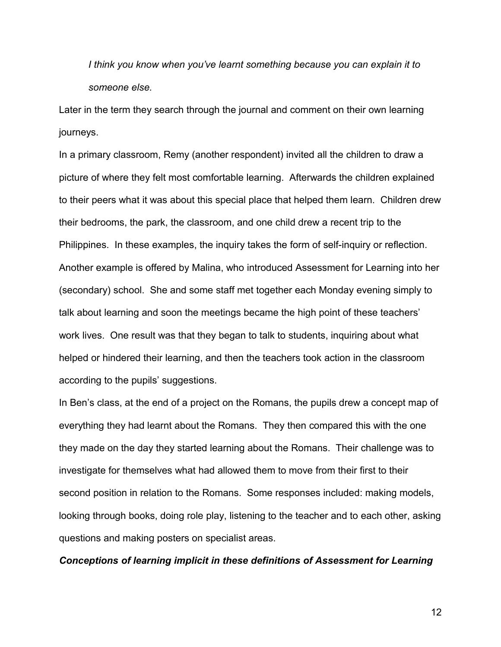*I think you know when you've learnt something because you can explain it to someone else.*

Later in the term they search through the journal and comment on their own learning journeys.

In a primary classroom, Remy (another respondent) invited all the children to draw a picture of where they felt most comfortable learning. Afterwards the children explained to their peers what it was about this special place that helped them learn. Children drew their bedrooms, the park, the classroom, and one child drew a recent trip to the Philippines. In these examples, the inquiry takes the form of self-inquiry or reflection. Another example is offered by Malina, who introduced Assessment for Learning into her (secondary) school. She and some staff met together each Monday evening simply to talk about learning and soon the meetings became the high point of these teachers' work lives. One result was that they began to talk to students, inquiring about what helped or hindered their learning, and then the teachers took action in the classroom according to the pupils' suggestions.

In Ben's class, at the end of a project on the Romans, the pupils drew a concept map of everything they had learnt about the Romans. They then compared this with the one they made on the day they started learning about the Romans. Their challenge was to investigate for themselves what had allowed them to move from their first to their second position in relation to the Romans. Some responses included: making models, looking through books, doing role play, listening to the teacher and to each other, asking questions and making posters on specialist areas.

#### *Conceptions of learning implicit in these definitions of Assessment for Learning*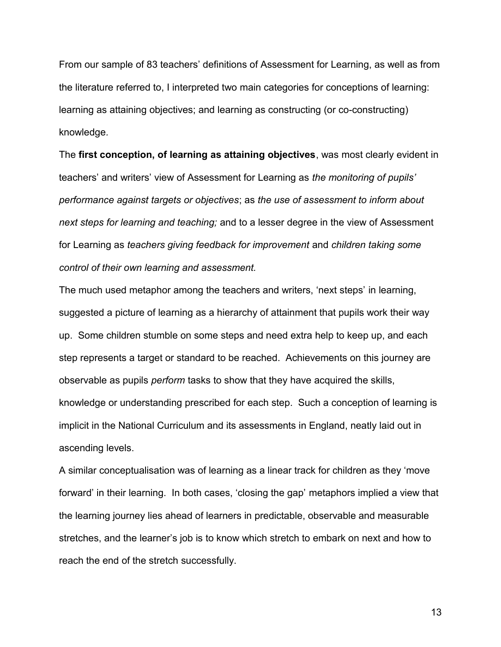From our sample of 83 teachers' definitions of Assessment for Learning, as well as from the literature referred to, I interpreted two main categories for conceptions of learning: learning as attaining objectives; and learning as constructing (or co-constructing) knowledge*.*

The **first conception, of learning as attaining objectives**, was most clearly evident in teachers' and writers' view of Assessment for Learning as *the monitoring of pupils' performance against targets or objectives*; as *the use of assessment to inform about next steps for learning and teaching;* and to a lesser degree in the view of Assessment for Learning as *teachers giving feedback for improvement* and *children taking some control of their own learning and assessment.*

The much used metaphor among the teachers and writers, 'next steps' in learning, suggested a picture of learning as a hierarchy of attainment that pupils work their way up. Some children stumble on some steps and need extra help to keep up, and each step represents a target or standard to be reached. Achievements on this journey are observable as pupils *perform* tasks to show that they have acquired the skills, knowledge or understanding prescribed for each step. Such a conception of learning is implicit in the National Curriculum and its assessments in England, neatly laid out in ascending levels.

A similar conceptualisation was of learning as a linear track for children as they 'move forward' in their learning. In both cases, 'closing the gap' metaphors implied a view that the learning journey lies ahead of learners in predictable, observable and measurable stretches, and the learner's job is to know which stretch to embark on next and how to reach the end of the stretch successfully.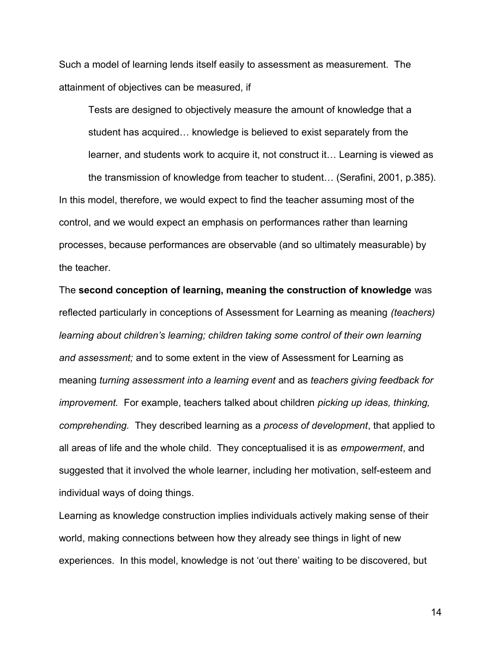Such a model of learning lends itself easily to assessment as measurement. The attainment of objectives can be measured, if

Tests are designed to objectively measure the amount of knowledge that a student has acquired… knowledge is believed to exist separately from the learner, and students work to acquire it, not construct it… Learning is viewed as

the transmission of knowledge from teacher to student… (Serafini, 2001, p.385). In this model, therefore, we would expect to find the teacher assuming most of the control, and we would expect an emphasis on performances rather than learning processes, because performances are observable (and so ultimately measurable) by the teacher.

The **second conception of learning, meaning the construction of knowledge** was reflected particularly in conceptions of Assessment for Learning as meaning *(teachers) learning about children's learning; children taking some control of their own learning and assessment;* and to some extent in the view of Assessment for Learning as meaning *turning assessment into a learning event* and as *teachers giving feedback for improvement.* For example, teachers talked about children *picking up ideas, thinking, comprehending.* They described learning as a *process of development*, that applied to all areas of life and the whole child. They conceptualised it is as *empowerment*, and suggested that it involved the whole learner, including her motivation, self-esteem and individual ways of doing things.

Learning as knowledge construction implies individuals actively making sense of their world, making connections between how they already see things in light of new experiences. In this model, knowledge is not 'out there' waiting to be discovered, but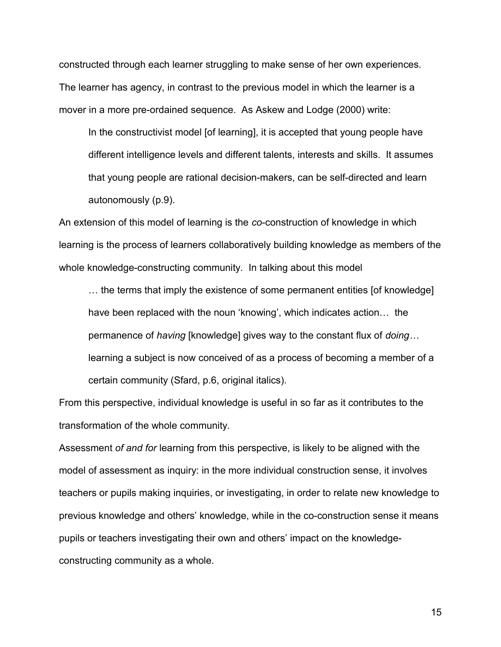constructed through each learner struggling to make sense of her own experiences. The learner has agency, in contrast to the previous model in which the learner is a mover in a more pre-ordained sequence. As Askew and Lodge (2000) write:

In the constructivist model [of learning], it is accepted that young people have different intelligence levels and different talents, interests and skills. It assumes that young people are rational decision-makers, can be self-directed and learn autonomously (p.9).

An extension of this model of learning is the *co*-construction of knowledge in which learning is the process of learners collaboratively building knowledge as members of the whole knowledge-constructing community. In talking about this model

… the terms that imply the existence of some permanent entities [of knowledge] have been replaced with the noun 'knowing', which indicates action… the permanence of *having* [knowledge] gives way to the constant flux of *doing…* learning a subject is now conceived of as a process of becoming a member of a certain community (Sfard, p.6, original italics).

From this perspective, individual knowledge is useful in so far as it contributes to the transformation of the whole community.

Assessment *of and for* learning from this perspective, is likely to be aligned with the model of assessment as inquiry: in the more individual construction sense, it involves teachers or pupils making inquiries, or investigating, in order to relate new knowledge to previous knowledge and others' knowledge, while in the co-construction sense it means pupils or teachers investigating their own and others' impact on the knowledgeconstructing community as a whole.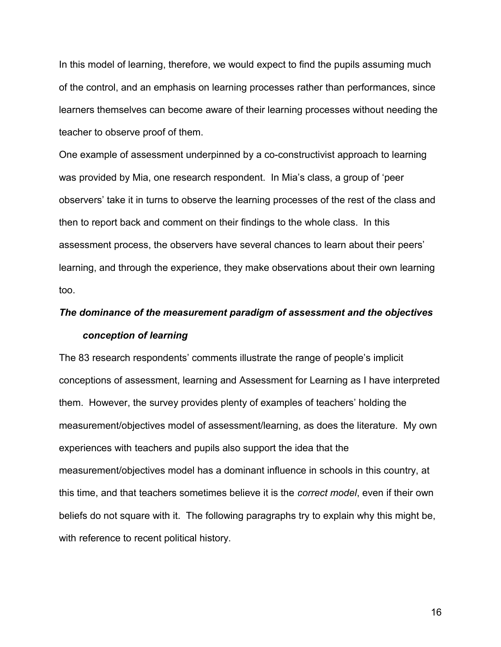In this model of learning, therefore, we would expect to find the pupils assuming much of the control, and an emphasis on learning processes rather than performances, since learners themselves can become aware of their learning processes without needing the teacher to observe proof of them.

One example of assessment underpinned by a co-constructivist approach to learning was provided by Mia, one research respondent. In Mia's class, a group of 'peer observers' take it in turns to observe the learning processes of the rest of the class and then to report back and comment on their findings to the whole class. In this assessment process, the observers have several chances to learn about their peers' learning, and through the experience, they make observations about their own learning too.

# *The dominance of the measurement paradigm of assessment and the objectives conception of learning*

The 83 research respondents' comments illustrate the range of people's implicit conceptions of assessment, learning and Assessment for Learning as I have interpreted them. However, the survey provides plenty of examples of teachers' holding the measurement/objectives model of assessment/learning, as does the literature. My own experiences with teachers and pupils also support the idea that the measurement/objectives model has a dominant influence in schools in this country, at this time, and that teachers sometimes believe it is the *correct model*, even if their own beliefs do not square with it. The following paragraphs try to explain why this might be, with reference to recent political history.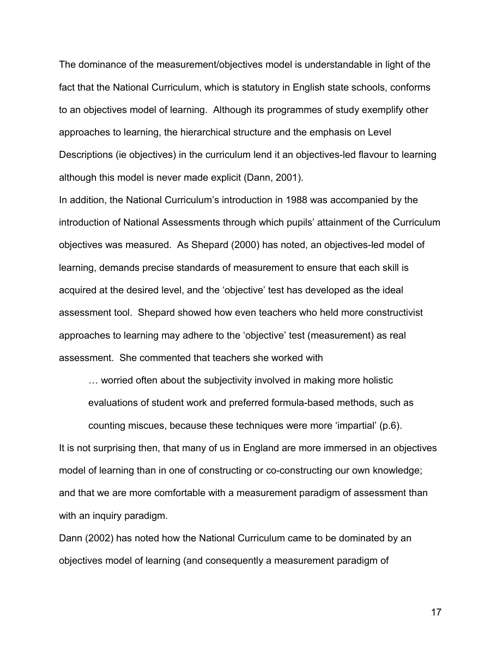The dominance of the measurement/objectives model is understandable in light of the fact that the National Curriculum, which is statutory in English state schools, conforms to an objectives model of learning. Although its programmes of study exemplify other approaches to learning, the hierarchical structure and the emphasis on Level Descriptions (ie objectives) in the curriculum lend it an objectives-led flavour to learning although this model is never made explicit (Dann, 2001).

In addition, the National Curriculum's introduction in 1988 was accompanied by the introduction of National Assessments through which pupils' attainment of the Curriculum objectives was measured. As Shepard (2000) has noted, an objectives-led model of learning, demands precise standards of measurement to ensure that each skill is acquired at the desired level, and the 'objective' test has developed as the ideal assessment tool. Shepard showed how even teachers who held more constructivist approaches to learning may adhere to the 'objective' test (measurement) as real assessment. She commented that teachers she worked with

… worried often about the subjectivity involved in making more holistic evaluations of student work and preferred formula-based methods, such as

counting miscues, because these techniques were more 'impartial' (p.6). It is not surprising then, that many of us in England are more immersed in an objectives model of learning than in one of constructing or co-constructing our own knowledge; and that we are more comfortable with a measurement paradigm of assessment than with an inquiry paradigm.

Dann (2002) has noted how the National Curriculum came to be dominated by an objectives model of learning (and consequently a measurement paradigm of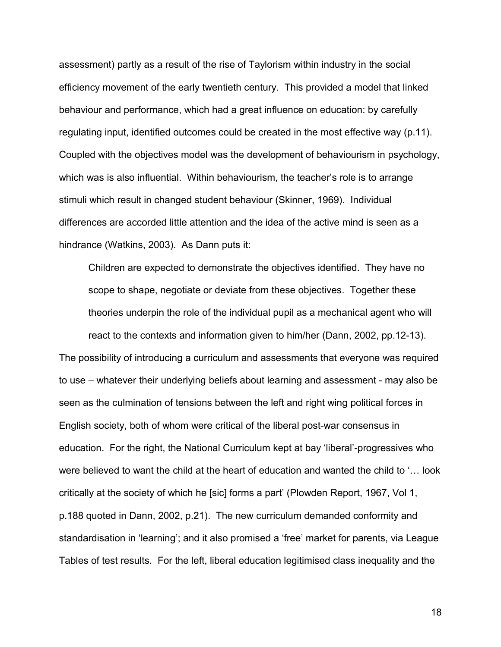assessment) partly as a result of the rise of Taylorism within industry in the social efficiency movement of the early twentieth century. This provided a model that linked behaviour and performance, which had a great influence on education: by carefully regulating input, identified outcomes could be created in the most effective way (p.11). Coupled with the objectives model was the development of behaviourism in psychology, which was is also influential. Within behaviourism, the teacher's role is to arrange stimuli which result in changed student behaviour (Skinner, 1969). Individual differences are accorded little attention and the idea of the active mind is seen as a hindrance (Watkins, 2003). As Dann puts it:

Children are expected to demonstrate the objectives identified. They have no scope to shape, negotiate or deviate from these objectives. Together these theories underpin the role of the individual pupil as a mechanical agent who will react to the contexts and information given to him/her (Dann, 2002, pp.12-13).

The possibility of introducing a curriculum and assessments that everyone was required to use – whatever their underlying beliefs about learning and assessment - may also be seen as the culmination of tensions between the left and right wing political forces in English society, both of whom were critical of the liberal post-war consensus in education. For the right, the National Curriculum kept at bay 'liberal'-progressives who were believed to want the child at the heart of education and wanted the child to '… look critically at the society of which he [sic] forms a part' (Plowden Report, 1967, Vol 1, p.188 quoted in Dann, 2002, p.21). The new curriculum demanded conformity and standardisation in 'learning'; and it also promised a 'free' market for parents, via League Tables of test results. For the left, liberal education legitimised class inequality and the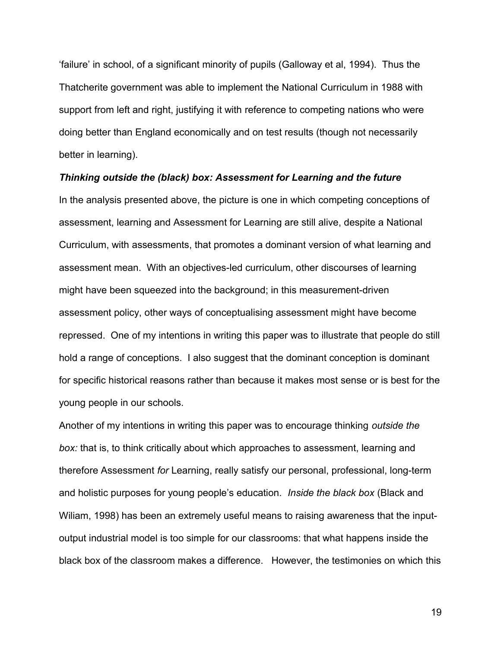'failure' in school, of a significant minority of pupils (Galloway et al, 1994). Thus the Thatcherite government was able to implement the National Curriculum in 1988 with support from left and right, justifying it with reference to competing nations who were doing better than England economically and on test results (though not necessarily better in learning).

#### *Thinking outside the (black) box: Assessment for Learning and the future*

In the analysis presented above, the picture is one in which competing conceptions of assessment, learning and Assessment for Learning are still alive, despite a National Curriculum, with assessments, that promotes a dominant version of what learning and assessment mean. With an objectives-led curriculum, other discourses of learning might have been squeezed into the background; in this measurement-driven assessment policy, other ways of conceptualising assessment might have become repressed. One of my intentions in writing this paper was to illustrate that people do still hold a range of conceptions. I also suggest that the dominant conception is dominant for specific historical reasons rather than because it makes most sense or is best for the young people in our schools.

Another of my intentions in writing this paper was to encourage thinking *outside the box:* that is, to think critically about which approaches to assessment, learning and therefore Assessment *for* Learning, really satisfy our personal, professional, long-term and holistic purposes for young people's education. *Inside the black box* (Black and Wiliam, 1998) has been an extremely useful means to raising awareness that the inputoutput industrial model is too simple for our classrooms: that what happens inside the black box of the classroom makes a difference. However, the testimonies on which this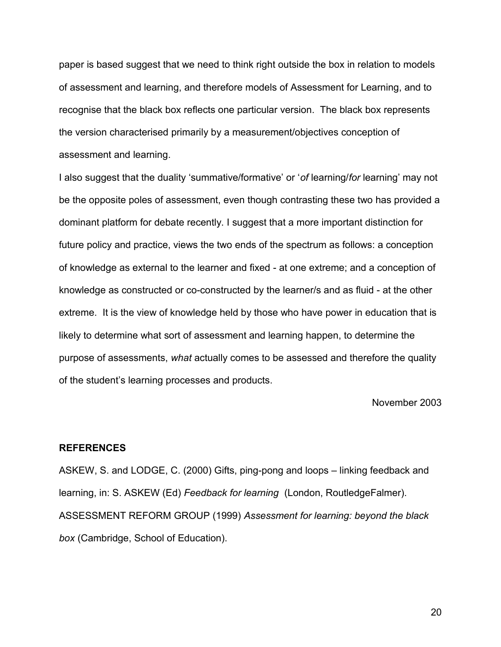paper is based suggest that we need to think right outside the box in relation to models of assessment and learning, and therefore models of Assessment for Learning, and to recognise that the black box reflects one particular version. The black box represents the version characterised primarily by a measurement/objectives conception of assessment and learning.

I also suggest that the duality 'summative/formative' or '*of* learning/*for* learning' may not be the opposite poles of assessment, even though contrasting these two has provided a dominant platform for debate recently. I suggest that a more important distinction for future policy and practice, views the two ends of the spectrum as follows: a conception of knowledge as external to the learner and fixed - at one extreme; and a conception of knowledge as constructed or co-constructed by the learner/s and as fluid - at the other extreme. It is the view of knowledge held by those who have power in education that is likely to determine what sort of assessment and learning happen, to determine the purpose of assessments, *what* actually comes to be assessed and therefore the quality of the student's learning processes and products.

November 2003

#### **REFERENCES**

ASKEW, S. and LODGE, C. (2000) Gifts, ping-pong and loops – linking feedback and learning, in: S. ASKEW (Ed) *Feedback for learning* (London, RoutledgeFalmer). ASSESSMENT REFORM GROUP (1999) *Assessment for learning: beyond the black box* (Cambridge, School of Education).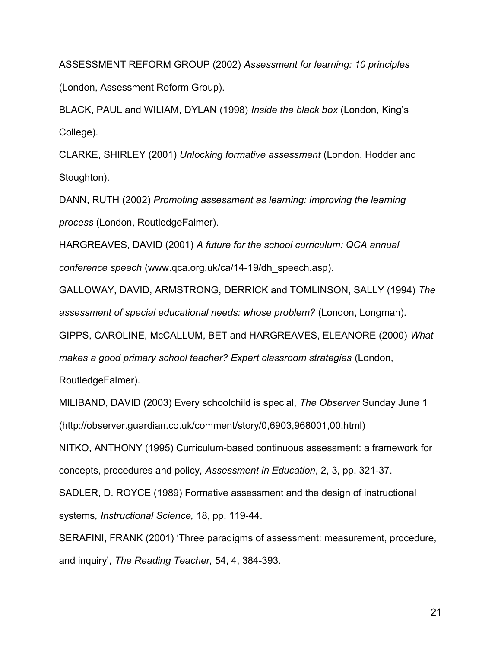ASSESSMENT REFORM GROUP (2002) *Assessment for learning: 10 principles* (London, Assessment Reform Group).

BLACK, PAUL and WILIAM, DYLAN (1998) *Inside the black box* (London, King's College).

CLARKE, SHIRLEY (2001) *Unlocking formative assessment* (London, Hodder and Stoughton).

DANN, RUTH (2002) *Promoting assessment as learning: improving the learning process* (London, RoutledgeFalmer).

HARGREAVES, DAVID (2001) *A future for the school curriculum: QCA annual conference speech* (www.qca.org.uk/ca/14-19/dh\_speech.asp).

GALLOWAY, DAVID, ARMSTRONG, DERRICK and TOMLINSON, SALLY (1994) *The assessment of special educational needs: whose problem?* (London, Longman).

GIPPS, CAROLINE, McCALLUM, BET and HARGREAVES, ELEANORE (2000) *What*

*makes a good primary school teacher? Expert classroom strategies* (London,

RoutledgeFalmer).

MILIBAND, DAVID (2003) Every schoolchild is special, *The Observer* Sunday June 1 (http://observer.guardian.co.uk/comment/story/0,6903,968001,00.html)

NITKO, ANTHONY (1995) Curriculum-based continuous assessment: a framework for concepts, procedures and policy, *Assessment in Education*, 2, 3, pp. 321-37.

SADLER, D. ROYCE (1989) Formative assessment and the design of instructional systems*, Instructional Science,* 18, pp. 119-44.

SERAFINI, FRANK (2001) 'Three paradigms of assessment: measurement, procedure, and inquiry', *The Reading Teacher,* 54, 4, 384-393.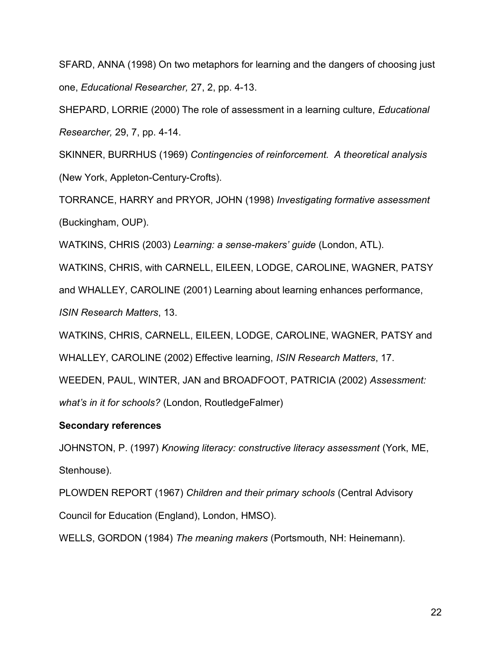SFARD, ANNA (1998) On two metaphors for learning and the dangers of choosing just one, *Educational Researcher,* 27, 2, pp. 4-13.

SHEPARD, LORRIE (2000) The role of assessment in a learning culture, *Educational Researcher,* 29, 7, pp. 4-14.

SKINNER, BURRHUS (1969) *Contingencies of reinforcement. A theoretical analysis* (New York, Appleton-Century-Crofts).

TORRANCE, HARRY and PRYOR, JOHN (1998) *Investigating formative assessment* (Buckingham, OUP).

WATKINS, CHRIS (2003) *Learning: a sense-makers' guide* (London, ATL).

WATKINS, CHRIS, with CARNELL, EILEEN, LODGE, CAROLINE, WAGNER, PATSY

and WHALLEY, CAROLINE (2001) Learning about learning enhances performance,

*ISIN Research Matters*, 13.

WATKINS, CHRIS, CARNELL, EILEEN, LODGE, CAROLINE, WAGNER, PATSY and WHALLEY, CAROLINE (2002) Effective learning, *ISIN Research Matters*, 17.

WEEDEN, PAUL, WINTER, JAN and BROADFOOT, PATRICIA (2002) *Assessment:*

*what's in it for schools?* (London, RoutledgeFalmer)

# **Secondary references**

JOHNSTON, P. (1997) *Knowing literacy: constructive literacy assessment* (York, ME, Stenhouse).

PLOWDEN REPORT (1967) *Children and their primary schools* (Central Advisory Council for Education (England), London, HMSO).

WELLS, GORDON (1984) *The meaning makers* (Portsmouth, NH: Heinemann).